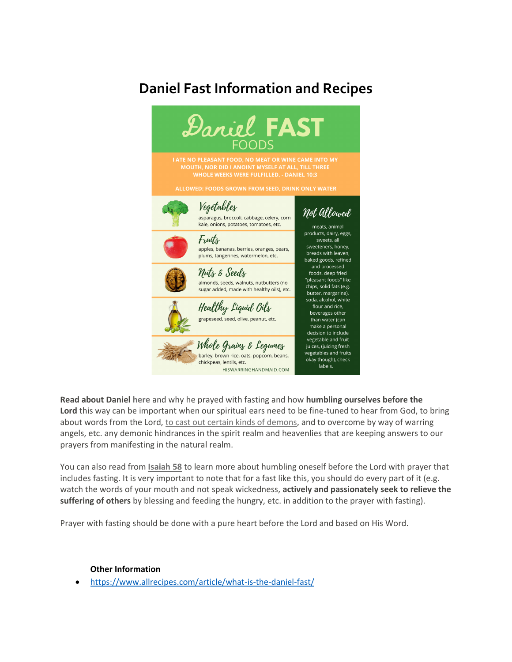## **Daniel Fast Information and Recipes**



**Read about Daniel [here](https://www.biblegateway.com/passage/?search=Daniel%2010&version=NKJV)** and why he prayed with fasting and how **humbling ourselves before the Lord** this way can be important when our spiritual ears need to be fine-tuned to hear from God, to bring about words from the Lord, to cast out certain kinds of [demons,](https://www.biblegateway.com/passage/?search=Mark+9:29&version=NKJV) and to overcome by way of warring angels, etc. any demonic hindrances in the spirit realm and heavenlies that are keeping answers to our prayers from manifesting in the natural realm.

You can also read from **[Isaiah](https://www.biblegateway.com/passage/?search=Isaiah+58&version=NKJV) 58** to learn more about humbling oneself before the Lord with prayer that includes fasting. It is very important to note that for a fast like this, you should do every part of it (e.g. watch the words of your mouth and not speak wickedness, **actively and passionately seek to relieve the suffering of others** by blessing and feeding the hungry, etc. in addition to the prayer with fasting).

Prayer with fasting should be done with a pure heart before the Lord and based on His Word.

## **Other Information**

• <https://www.allrecipes.com/article/what-is-the-daniel-fast/>